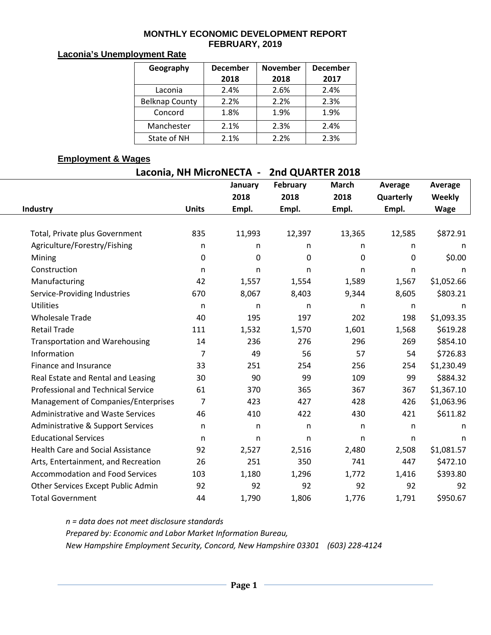#### **MONTHLY ECONOMIC DEVELOPMENT REPORT FEBRUARY, 2019**

### **Laconia's Unemployment Rate**

| Geography             | <b>December</b> | <b>November</b> | <b>December</b> |  |  |
|-----------------------|-----------------|-----------------|-----------------|--|--|
|                       | 2018            | 2018            | 2017            |  |  |
| Laconia               | 2.4%            | 2.6%            | 2.4%            |  |  |
| <b>Belknap County</b> | 2.2%            | 2.2%            | 2.3%            |  |  |
| Concord               | 1.8%            | 1.9%            | 1.9%            |  |  |
| Manchester            | 2.1%            | 2.3%            | 2.4%            |  |  |
| State of NH           | 2.1%            | 2.2%            | 2.3%            |  |  |

## **Employment & Wages**

**Laconia, NH MicroNECTA - 2nd QUARTER 2018**

|                                           |                | January      | February | <b>March</b> | <b>Average</b> | Average     |
|-------------------------------------------|----------------|--------------|----------|--------------|----------------|-------------|
|                                           |                | 2018         | 2018     | 2018         | Quarterly      | Weekly      |
| Industry                                  | <b>Units</b>   | Empl.        | Empl.    | Empl.        | Empl.          | <b>Wage</b> |
|                                           |                |              |          |              |                |             |
| Total, Private plus Government            | 835            | 11,993       | 12,397   | 13,365       | 12,585         | \$872.91    |
| Agriculture/Forestry/Fishing              | $\mathsf{n}$   | n            | n        | n            | n              | n           |
| Mining                                    | $\Omega$       | $\Omega$     | 0        | 0            | $\mathbf{0}$   | \$0.00      |
| Construction                              | $\mathsf{n}$   | n            | n        | n            | n              | n           |
| Manufacturing                             | 42             | 1,557        | 1,554    | 1,589        | 1,567          | \$1,052.66  |
| Service-Providing Industries              | 670            | 8,067        | 8,403    | 9,344        | 8,605          | \$803.21    |
| <b>Utilities</b>                          | $\mathsf{n}$   | n            | n        | n            | $\mathsf{n}$   | n           |
| <b>Wholesale Trade</b>                    | 40             | 195          | 197      | 202          | 198            | \$1,093.35  |
| <b>Retail Trade</b>                       | 111            | 1,532        | 1,570    | 1,601        | 1,568          | \$619.28    |
| <b>Transportation and Warehousing</b>     | 14             | 236          | 276      | 296          | 269            | \$854.10    |
| Information                               | $\overline{7}$ | 49           | 56       | 57           | 54             | \$726.83    |
| Finance and Insurance                     | 33             | 251          | 254      | 256          | 254            | \$1,230.49  |
| Real Estate and Rental and Leasing        | 30             | 90           | 99       | 109          | 99             | \$884.32    |
| <b>Professional and Technical Service</b> | 61             | 370          | 365      | 367          | 367            | \$1,367.10  |
| Management of Companies/Enterprises       | 7              | 423          | 427      | 428          | 426            | \$1,063.96  |
| <b>Administrative and Waste Services</b>  | 46             | 410          | 422      | 430          | 421            | \$611.82    |
| Administrative & Support Services         | $\mathsf{n}$   | n            | n        | n            | n              | n           |
| <b>Educational Services</b>               | n              | $\mathsf{n}$ | n        | $\mathsf{n}$ | n              | n           |
| <b>Health Care and Social Assistance</b>  | 92             | 2,527        | 2,516    | 2,480        | 2,508          | \$1,081.57  |
| Arts, Entertainment, and Recreation       | 26             | 251          | 350      | 741          | 447            | \$472.10    |
| <b>Accommodation and Food Services</b>    | 103            | 1,180        | 1,296    | 1,772        | 1,416          | \$393.80    |
| Other Services Except Public Admin        | 92             | 92           | 92       | 92           | 92             | 92          |
| <b>Total Government</b>                   | 44             | 1,790        | 1,806    | 1,776        | 1,791          | \$950.67    |

*n = data does not meet disclosure standards*

*Prepared by: Economic and Labor Market Information Bureau,* 

*New Hampshire Employment Security, Concord, New Hampshire 03301 (603) 228-4124*